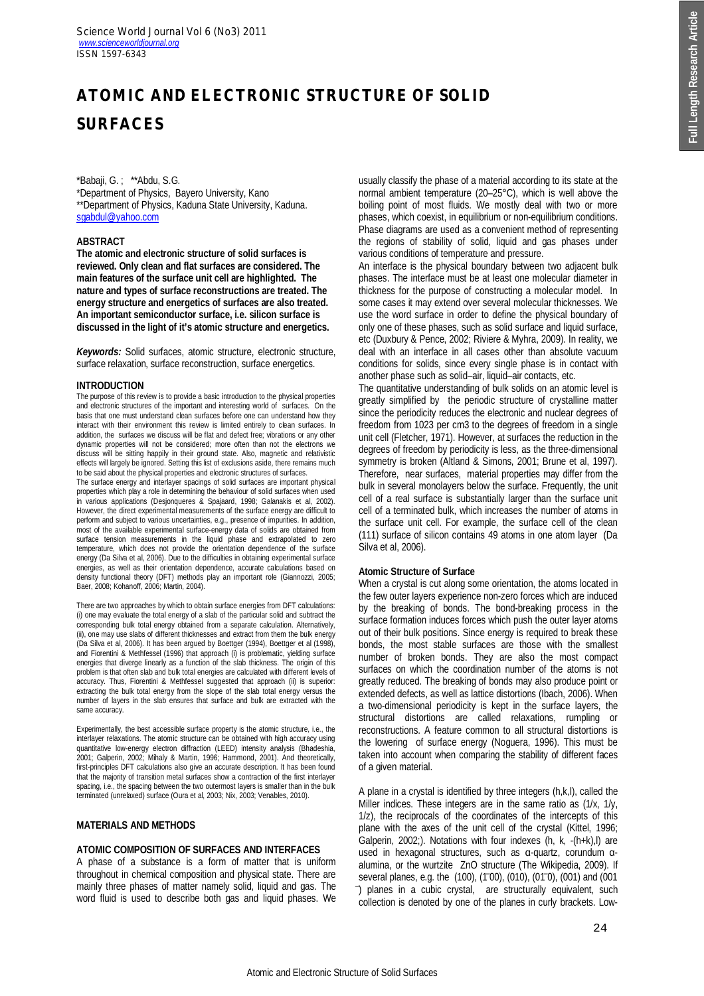# **ATOMIC AND ELECTRONIC STRUCTURE OF SOLID SURFACES**

\*Babaji, G. ; \*\*Abdu, S.G.

\*Department of Physics, Bayero University, Kano \*\*Department of Physics, Kaduna State University, Kaduna. sgabdul@yahoo.com

# **ABSTRACT**

**The atomic and electronic structure of solid surfaces is reviewed. Only clean and flat surfaces are considered. The main features of the surface unit cell are highlighted. The nature and types of surface reconstructions are treated. The energy structure and energetics of surfaces are also treated. An important semiconductor surface, i.e. silicon surface is discussed in the light of it's atomic structure and energetics.**

*Keywords:* Solid surfaces, atomic structure, electronic structure, surface relaxation, surface reconstruction, surface energetics.

# **INTRODUCTION**

The purpose of this review is to provide a basic introduction to the physical properties and electronic structures of the important and interesting world of surfaces. On the basis that one must understand clean surfaces before one can understand how they interact with their environment this review is limited entirely to clean surfaces. In addition, the surfaces we discuss will be flat and defect free; vibrations or any other dynamic properties will not be considered; more often than not the electrons we discuss will be sitting happily in their ground state. Also, magnetic and relativistic effects will largely be ignored. Setting this list of exclusions aside, there remains much to be said about the physical properties and electronic structures of surfaces.

The surface energy and interlayer spacings of solid surfaces are important physical properties which play a role in determining the behaviour of solid surfaces when used in various applications (Desjonqueres & Spajaard, 1998; Galanakis et al, 2002). However, the direct experimental measurements of the surface energy are difficult to perform and subject to various uncertainties, e.g., presence of impurities. In addition, most of the available experimental surface-energy data of solids are obtained from surface tension measurements in the liquid phase and extrapolated to zero temperature, which does not provide the orientation dependence of the surface energy (Da Silva et al, 2006). Due to the difficulties in obtaining experimental surface energies, as well as their orientation dependence, accurate calculations based on density functional theory (DFT) methods play an important role (Giannozzi, 2005; Baer, 2008; Kohanoff, 2006; Martin, 2004).

There are two approaches by which to obtain surface energies from DFT calculations: (i) one may evaluate the total energy of a slab of the particular solid and subtract the corresponding bulk total energy obtained from a separate calculation. Alternatively, (ii), one may use slabs of different thicknesses and extract from them the bulk energy (Da Silva et al, 2006). It has been argued by Boettger (1994), Boettger et al (1998), and Fiorentini & Methfessel (1996) that approach (i) is problematic, yielding surface energies that diverge linearly as a function of the slab thickness. The origin of this problem is that often slab and bulk total energies are calculated with different levels of accuracy. Thus, Fiorentini & Methfessel suggested that approach (ii) is superior: extracting the bulk total energy from the slope of the slab total energy versus the number of layers in the slab ensures that surface and bulk are extracted with the same accuracy.

Experimentally, the best accessible surface property is the atomic structure, i.e., the interlayer relaxations. The atomic structure can be obtained with high accuracy using quantitative low-energy electron diffraction (LEED) intensity analysis (Bhadeshia, 2001; Galperin, 2002; Mihaly & Martin, 1996; Hammond, 2001). And theoretically, first-principles DFT calculations also give an accurate description. It has been found that the majority of transition metal surfaces show a contraction of the first interlayer spacing, i.e., the spacing between the two outermost layers is smaller than in the bulk terminated (unrelaxed) surface (Oura et al, 2003; Nix, 2003; Venables, 2010).

# **MATERIALS AND METHODS**

# **ATOMIC COMPOSITION OF SURFACES AND INTERFACES**

A phase of a substance is a form of matter that is uniform throughout in chemical composition and physical state. There are mainly three phases of matter namely solid, liquid and gas. The word fluid is used to describe both gas and liquid phases. We usually classify the phase of a material according to its state at the normal ambient temperature (20–25°C), which is well above the boiling point of most fluids. We mostly deal with two or more phases, which coexist, in equilibrium or non-equilibrium conditions. Phase diagrams are used as a convenient method of representing the regions of stability of solid, liquid and gas phases under various conditions of temperature and pressure.

An interface is the physical boundary between two adjacent bulk phases. The interface must be at least one molecular diameter in thickness for the purpose of constructing a molecular model. In some cases it may extend over several molecular thicknesses. We use the word surface in order to define the physical boundary of only one of these phases, such as solid surface and liquid surface, etc (Duxbury & Pence, 2002; Riviere & Myhra, 2009). In reality, we deal with an interface in all cases other than absolute vacuum conditions for solids, since every single phase is in contact with another phase such as solid–air, liquid–air contacts, etc.

The quantitative understanding of bulk solids on an atomic level is greatly simplified by the periodic structure of crystalline matter since the periodicity reduces the electronic and nuclear degrees of freedom from 1023 per cm3 to the degrees of freedom in a single unit cell (Fletcher, 1971). However, at surfaces the reduction in the degrees of freedom by periodicity is less, as the three-dimensional symmetry is broken (Altland & Simons, 2001; Brune et al, 1997). Therefore, near surfaces, material properties may differ from the bulk in several monolayers below the surface. Frequently, the unit cell of a real surface is substantially larger than the surface unit cell of a terminated bulk, which increases the number of atoms in the surface unit cell. For example, the surface cell of the clean (111) surface of silicon contains 49 atoms in one atom layer (Da Silva et al, 2006).

## **Atomic Structure of Surface**

When a crystal is cut along some orientation, the atoms located in the few outer layers experience non-zero forces which are induced by the breaking of bonds. The bond-breaking process in the surface formation induces forces which push the outer layer atoms out of their bulk positions. Since energy is required to break these bonds, the most stable surfaces are those with the smallest number of broken bonds. They are also the most compact surfaces on which the coordination number of the atoms is not greatly reduced. The breaking of bonds may also produce point or extended defects, as well as lattice distortions (Ibach, 2006). When a two-dimensional periodicity is kept in the surface layers, the structural distortions are called relaxations, rumpling or reconstructions. A feature common to all structural distortions is the lowering of surface energy (Noguera, 1996). This must be taken into account when comparing the stability of different faces of a given material.

A plane in a crystal is identified by three integers (h,k,l), called the Miller indices. These integers are in the same ratio as (1/x, 1/y, 1/z), the reciprocals of the coordinates of the intercepts of this plane with the axes of the unit cell of the crystal (Kittel, 1996; Galperin, 2002;). Notations with four indexes (h, k, -(h+k),l) are used in hexagonal structures, such as α-quartz, corundum αalumina, or the wurtzite ZnO structure (The Wikipedia, 2009). If several planes, e.g. the (100), (100), (010), (010), (001) and (001 ̅) planes in a cubic crystal, are structurally equivalent, such collection is denoted by one of the planes in curly brackets. Low-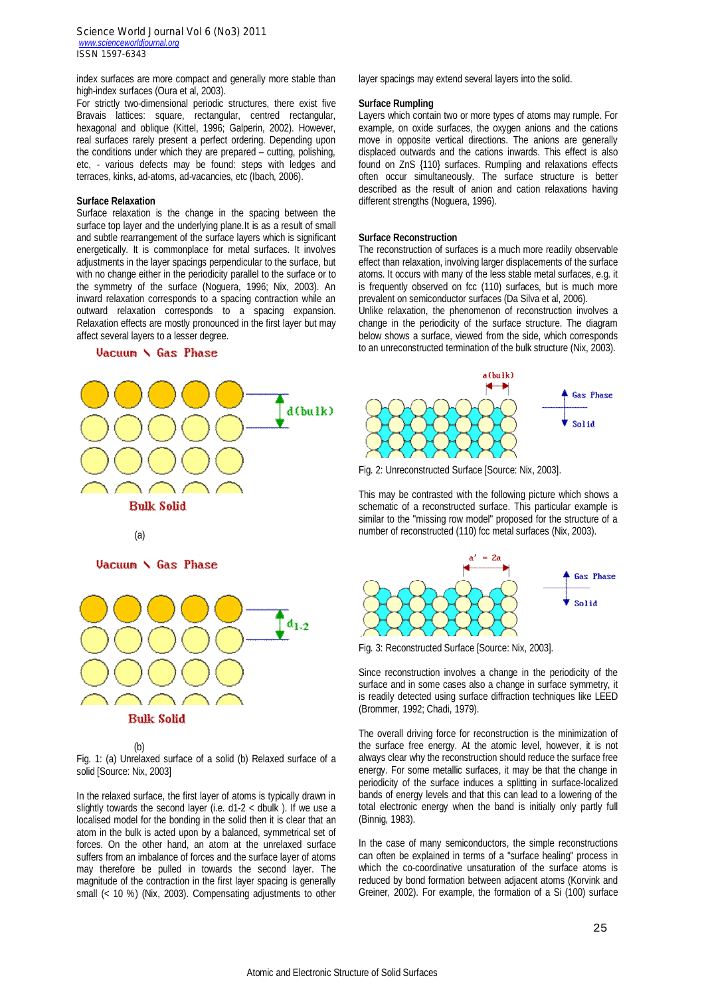index surfaces are more compact and generally more stable than high-index surfaces (Oura et al, 2003).

For strictly two-dimensional periodic structures, there exist five Bravais lattices: square, rectangular, centred rectangular, hexagonal and oblique (Kittel, 1996; Galperin, 2002). However, real surfaces rarely present a perfect ordering. Depending upon the conditions under which they are prepared – cutting, polishing, etc, - various defects may be found: steps with ledges and terraces, kinks, ad-atoms, ad-vacancies, etc (Ibach, 2006).

# **Surface Relaxation**

Surface relaxation is the change in the spacing between the surface top layer and the underlying plane.It is as a result of small and subtle rearrangement of the surface layers which is significant energetically. It is commonplace for metal surfaces. It involves adjustments in the layer spacings perpendicular to the surface, but with no change either in the periodicity parallel to the surface or to the symmetry of the surface (Noguera, 1996; Nix, 2003). An inward relaxation corresponds to a spacing contraction while an outward relaxation corresponds to a spacing expansion. Relaxation effects are mostly pronounced in the first layer but may affect several layers to a lesser degree.

#### Vacuum \ Gas Phase



Vacuum \ Gas Phase



 $(h)$ 

Fig. 1: (a) Unrelaxed surface of a solid (b) Relaxed surface of a solid [Source: Nix, 2003]

In the relaxed surface, the first layer of atoms is typically drawn in slightly towards the second layer (i.e.  $d1-2 <$  dbulk). If we use a localised model for the bonding in the solid then it is clear that an atom in the bulk is acted upon by a balanced, symmetrical set of forces. On the other hand, an atom at the unrelaxed surface suffers from an imbalance of forces and the surface layer of atoms may therefore be pulled in towards the second layer. The magnitude of the contraction in the first layer spacing is generally small (< 10 %) (Nix, 2003). Compensating adjustments to other layer spacings may extend several layers into the solid.

## **Surface Rumpling**

Layers which contain two or more types of atoms may rumple. For example, on oxide surfaces, the oxygen anions and the cations move in opposite vertical directions. The anions are generally displaced outwards and the cations inwards. This effect is also found on ZnS {110} surfaces. Rumpling and relaxations effects often occur simultaneously. The surface structure is better described as the result of anion and cation relaxations having different strengths (Noguera, 1996).

#### **Surface Reconstruction**

The reconstruction of surfaces is a much more readily observable effect than relaxation, involving larger displacements of the surface atoms. It occurs with many of the less stable metal surfaces, e.g. it is frequently observed on fcc (110) surfaces, but is much more prevalent on semiconductor surfaces (Da Silva et al, 2006).

Unlike relaxation, the phenomenon of reconstruction involves a change in the periodicity of the surface structure. The diagram below shows a surface, viewed from the side, which corresponds to an unreconstructed termination of the bulk structure (Nix, 2003).



Fig. 2: Unreconstructed Surface [Source: Nix, 2003].

This may be contrasted with the following picture which shows a schematic of a reconstructed surface. This particular example is similar to the "missing row model" proposed for the structure of a number of reconstructed (110) fcc metal surfaces (Nix, 2003).



Fig. 3: Reconstructed Surface [Source: Nix, 2003].

Since reconstruction involves a change in the periodicity of the surface and in some cases also a change in surface symmetry, it is readily detected using surface diffraction techniques like LEED (Brommer, 1992; Chadi, 1979).

The overall driving force for reconstruction is the minimization of the surface free energy. At the atomic level, however, it is not always clear why the reconstruction should reduce the surface free energy. For some metallic surfaces, it may be that the change in periodicity of the surface induces a splitting in surface-localized bands of energy levels and that this can lead to a lowering of the total electronic energy when the band is initially only partly full (Binnig, 1983).

In the case of many semiconductors, the simple reconstructions can often be explained in terms of a "surface healing" process in which the co-coordinative unsaturation of the surface atoms is reduced by bond formation between adjacent atoms (Korvink and Greiner, 2002). For example, the formation of a Si (100) surface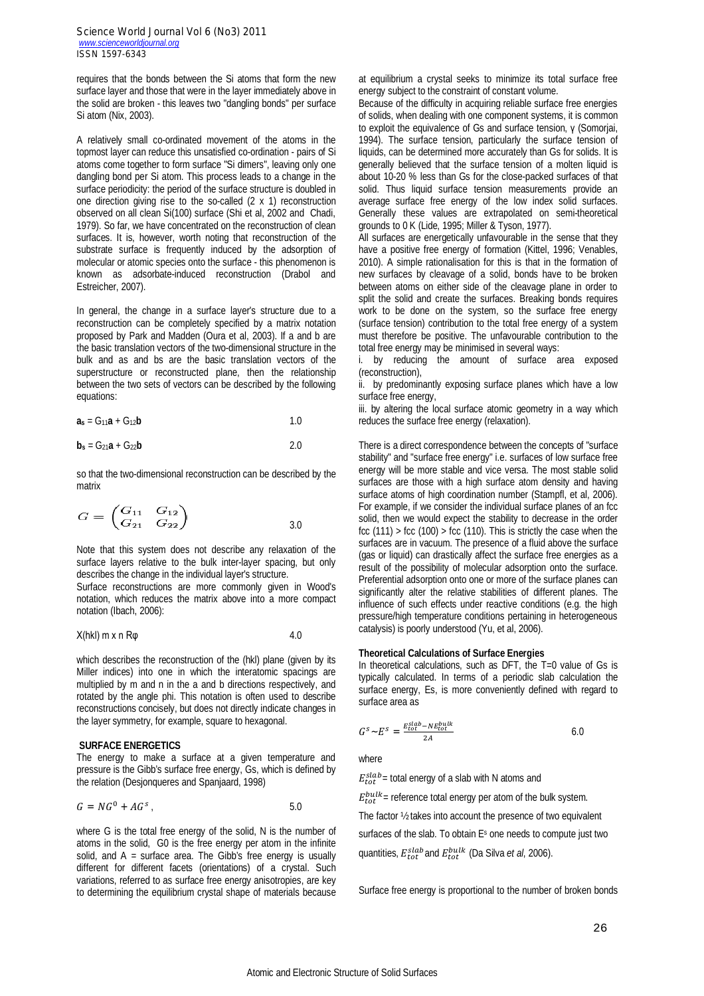requires that the bonds between the Si atoms that form the new surface layer and those that were in the layer immediately above in the solid are broken - this leaves two "dangling bonds" per surface Si atom (Nix, 2003).

A relatively small co-ordinated movement of the atoms in the topmost layer can reduce this unsatisfied co-ordination - pairs of Si atoms come together to form surface "Si dimers", leaving only one dangling bond per Si atom. This process leads to a change in the surface periodicity: the period of the surface structure is doubled in one direction giving rise to the so-called (2 x 1) reconstruction observed on all clean Si(100) surface (Shi et al, 2002 and Chadi, 1979). So far, we have concentrated on the reconstruction of clean surfaces. It is, however, worth noting that reconstruction of the substrate surface is frequently induced by the adsorption of molecular or atomic species onto the surface - this phenomenon is known as adsorbate-induced reconstruction (Drabol and Estreicher, 2007).

In general, the change in a surface layer's structure due to a reconstruction can be completely specified by a matrix notation proposed by Park and Madden (Oura et al, 2003). If a and b are the basic translation vectors of the two-dimensional structure in the bulk and as and bs are the basic translation vectors of the superstructure or reconstructed plane, then the relationship between the two sets of vectors can be described by the following equations:

$$
\mathbf{a_s} = \mathbf{G_{11}} \mathbf{a} + \mathbf{G_{12}} \mathbf{b} \tag{1.0}
$$

$$
\mathbf{b}_s = \mathbf{G}_{21}\mathbf{a} + \mathbf{G}_{22}\mathbf{b} \tag{2.0}
$$

so that the two-dimensional reconstruction can be described by the matrix

$$
G = \begin{pmatrix} G_{11} & G_{12} \\ G_{21} & G_{22} \end{pmatrix} \qquad \qquad 3.0
$$

Note that this system does not describe any relaxation of the surface layers relative to the bulk inter-layer spacing, but only describes the change in the individual layer's structure.

Surface reconstructions are more commonly given in Wood's notation, which reduces the matrix above into a more compact notation (Ibach, 2006):

#### $X(hkl)$  m x n R $\varphi$  4.0

which describes the reconstruction of the (hkl) plane (given by its Miller indices) into one in which the interatomic spacings are multiplied by m and n in the a and b directions respectively, and rotated by the angle phi. This notation is often used to describe reconstructions concisely, but does not directly indicate changes in the layer symmetry, for example, square to hexagonal.

#### **SURFACE ENERGETICS**

The energy to make a surface at a given temperature and pressure is the Gibb's surface free energy, Gs, which is defined by the relation (Desjonqueres and Spanjaard, 1998)

$$
G = NG^0 + AG^s, \qquad 5.0
$$

where G is the total free energy of the solid, N is the number of atoms in the solid, G0 is the free energy per atom in the infinite solid, and  $A =$  surface area. The Gibb's free energy is usually different for different facets (orientations) of a crystal. Such variations, referred to as surface free energy anisotropies, are key to determining the equilibrium crystal shape of materials because at equilibrium a crystal seeks to minimize its total surface free energy subject to the constraint of constant volume.

Because of the difficulty in acquiring reliable surface free energies of solids, when dealing with one component systems, it is common to exploit the equivalence of Gs and surface tension, γ (Somorjai, 1994). The surface tension, particularly the surface tension of liquids, can be determined more accurately than Gs for solids. It is generally believed that the surface tension of a molten liquid is about 10-20 % less than Gs for the close-packed surfaces of that solid. Thus liquid surface tension measurements provide an average surface free energy of the low index solid surfaces. Generally these values are extrapolated on semi-theoretical grounds to 0 K (Lide, 1995; Miller & Tyson, 1977).

All surfaces are energetically unfavourable in the sense that they have a positive free energy of formation (Kittel, 1996; Venables, 2010). A simple rationalisation for this is that in the formation of new surfaces by cleavage of a solid, bonds have to be broken between atoms on either side of the cleavage plane in order to split the solid and create the surfaces. Breaking bonds requires work to be done on the system, so the surface free energy (surface tension) contribution to the total free energy of a system must therefore be positive. The unfavourable contribution to the total free energy may be minimised in several ways:

i. by reducing the amount of surface area exposed (reconstruction),

ii. by predominantly exposing surface planes which have a low surface free energy,

iii. by altering the local surface atomic geometry in a way which reduces the surface free energy (relaxation).

There is a direct correspondence between the concepts of "surface stability" and "surface free energy" i.e. surfaces of low surface free energy will be more stable and vice versa. The most stable solid surfaces are those with a high surface atom density and having surface atoms of high coordination number (Stampfl, et al, 2006). For example, if we consider the individual surface planes of an fcc solid, then we would expect the stability to decrease in the order fcc  $(111)$  > fcc  $(100)$  > fcc  $(110)$ . This is strictly the case when the surfaces are in vacuum. The presence of a fluid above the surface (gas or liquid) can drastically affect the surface free energies as a result of the possibility of molecular adsorption onto the surface. Preferential adsorption onto one or more of the surface planes can significantly alter the relative stabilities of different planes. The influence of such effects under reactive conditions (e.g. the high pressure/high temperature conditions pertaining in heterogeneous catalysis) is poorly understood (Yu, et al, 2006).

#### **Theoretical Calculations of Surface Energies**

In theoretical calculations, such as DFT, the T=0 value of Gs is typically calculated. In terms of a periodic slab calculation the surface energy, Es, is more conveniently defined with regard to surface area as

$$
G^s \sim E^s = \frac{E_{tot}^{slab} - NE_{tot}^{bulk}}{2A} \tag{6.0}
$$

where

 $E_{tot}^{slab}$  = total energy of a slab with N atoms and

 $E_{tot}^{bulk}$  = reference total energy per atom of the bulk system.

The factor ½ takes into account the presence of two equivalent

surfaces of the slab. To obtain Es one needs to compute just two

quantities,  $E_{tot}^{slab}$  and  $E_{tot}^{bulk}$  (Da Silva *et al*, 2006).

Surface free energy is proportional to the number of broken bonds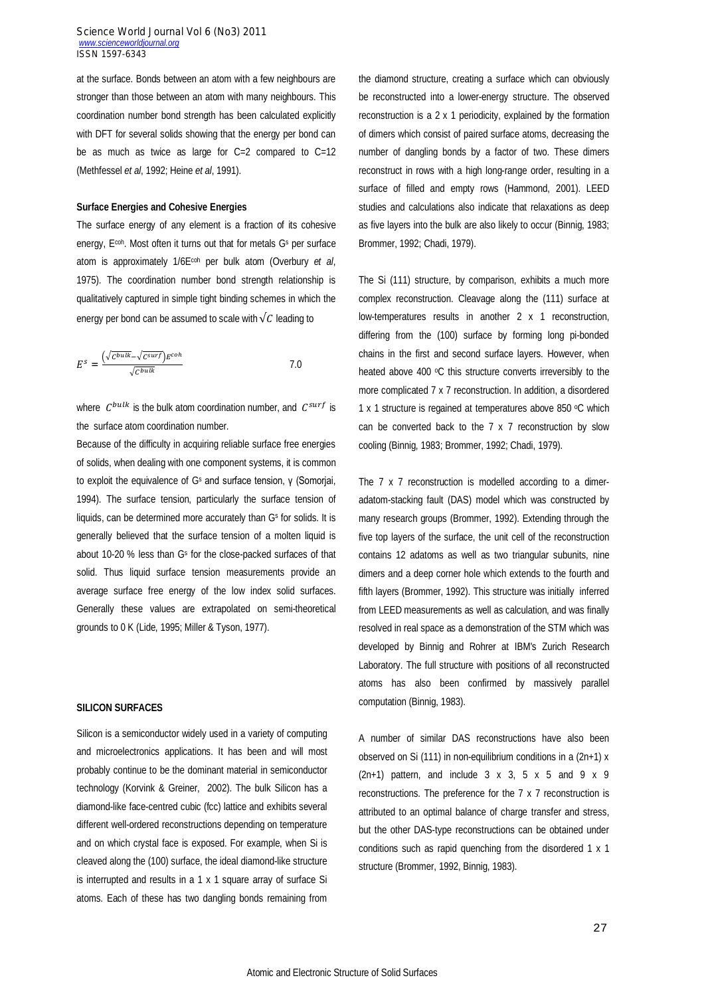at the surface. Bonds between an atom with a few neighbours are stronger than those between an atom with many neighbours. This coordination number bond strength has been calculated explicitly with DFT for several solids showing that the energy per bond can be as much as twice as large for C=2 compared to C=12 (Methfessel *et al*, 1992; Heine *et al*, 1991).

# **Surface Energies and Cohesive Energies**

The surface energy of any element is a fraction of its cohesive energy, E<sup>coh</sup>. Most often it turns out that for metals G<sup>s</sup> per surface atom is approximately 1/6Ecoh per bulk atom (Overbury *et al*, 1975). The coordination number bond strength relationship is qualitatively captured in simple tight binding schemes in which the energy per bond can be assumed to scale with  $\sqrt{C}$  leading to

$$
E^{s} = \frac{(\sqrt{c^{bulk}} - \sqrt{c^{surf}})E^{coh}}{\sqrt{c^{bulk}}}
$$

where  $C^{bulk}$  is the bulk atom coordination number, and  $C^{surf}$  is the surface atom coordination number.

Because of the difficulty in acquiring reliable surface free energies of solids, when dealing with one component systems, it is common to exploit the equivalence of G<sup>s</sup> and surface tension, γ (Somorjai, 1994). The surface tension, particularly the surface tension of liquids, can be determined more accurately than G<sup>s</sup> for solids. It is generally believed that the surface tension of a molten liquid is about 10-20 % less than G<sup>s</sup> for the close-packed surfaces of that solid. Thus liquid surface tension measurements provide an average surface free energy of the low index solid surfaces. Generally these values are extrapolated on semi-theoretical grounds to 0 K (Lide, 1995; Miller & Tyson, 1977).

# **SILICON SURFACES**

Silicon is a semiconductor widely used in a variety of computing and microelectronics applications. It has been and will most probably continue to be the dominant material in semiconductor technology (Korvink & Greiner, 2002). The bulk Silicon has a diamond-like face-centred cubic (fcc) lattice and exhibits several different well-ordered reconstructions depending on temperature and on which crystal face is exposed. For example, when Si is cleaved along the (100) surface, the ideal diamond-like structure is interrupted and results in a 1 x 1 square array of surface Si atoms. Each of these has two dangling bonds remaining from the diamond structure, creating a surface which can obviously be reconstructed into a lower-energy structure. The observed reconstruction is a 2 x 1 periodicity, explained by the formation of dimers which consist of paired surface atoms, decreasing the number of dangling bonds by a factor of two. These dimers reconstruct in rows with a high long-range order, resulting in a surface of filled and empty rows (Hammond, 2001). LEED studies and calculations also indicate that relaxations as deep as five layers into the bulk are also likely to occur (Binnig, 1983; Brommer, 1992; Chadi, 1979).

The Si (111) structure, by comparison, exhibits a much more complex reconstruction. Cleavage along the (111) surface at low-temperatures results in another 2 x 1 reconstruction, differing from the (100) surface by forming long pi-bonded chains in the first and second surface layers. However, when heated above 400 °C this structure converts irreversibly to the more complicated 7 x 7 reconstruction. In addition, a disordered 1 x 1 structure is regained at temperatures above 850  $\degree$ C which can be converted back to the 7 x 7 reconstruction by slow cooling (Binnig, 1983; Brommer, 1992; Chadi, 1979).

The 7 x 7 reconstruction is modelled according to a dimeradatom-stacking fault (DAS) model which was constructed by many research groups (Brommer, 1992). Extending through the five top layers of the surface, the unit cell of the reconstruction contains 12 adatoms as well as two triangular subunits, nine dimers and a deep corner hole which extends to the fourth and fifth layers (Brommer, 1992). This structure was initially inferred from LEED measurements as well as calculation, and was finally resolved in real space as a demonstration of the STM which was developed by Binnig and Rohrer at IBM's Zurich Research Laboratory. The full structure with positions of all reconstructed atoms has also been confirmed by massively parallel computation (Binnig, 1983).

A number of similar DAS reconstructions have also been observed on Si (111) in non-equilibrium conditions in a (2n+1) x  $(2n+1)$  pattern, and include 3 x 3, 5 x 5 and 9 x 9 reconstructions. The preference for the 7 x 7 reconstruction is attributed to an optimal balance of charge transfer and stress, but the other DAS-type reconstructions can be obtained under conditions such as rapid quenching from the disordered 1 x 1 structure (Brommer, 1992, Binnig, 1983).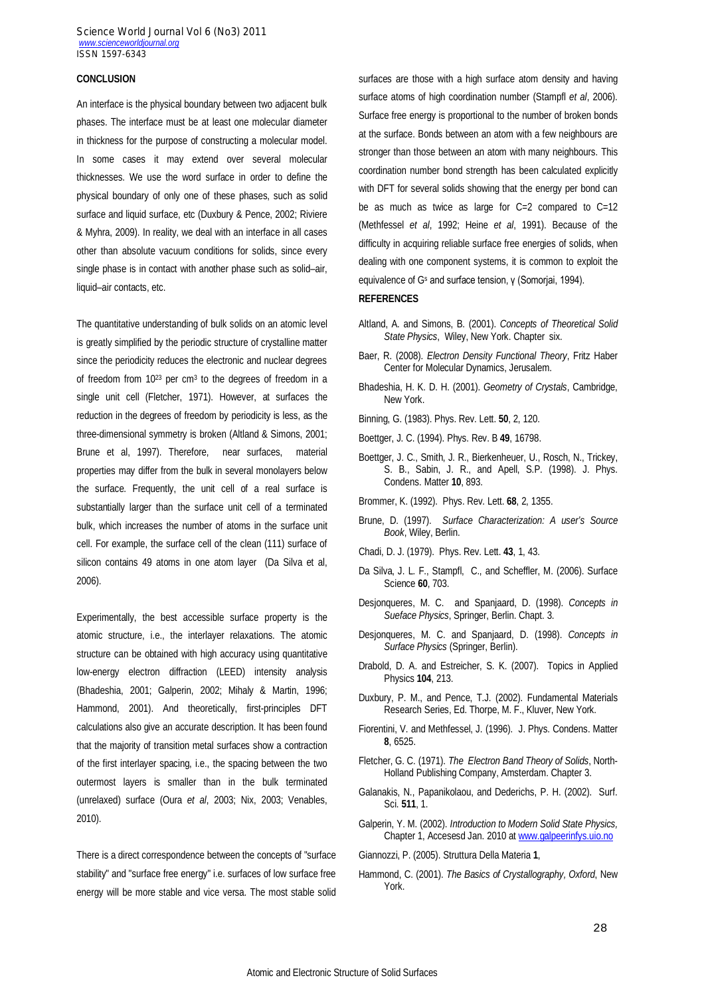#### **CONCLUSION**

An interface is the physical boundary between two adjacent bulk phases. The interface must be at least one molecular diameter in thickness for the purpose of constructing a molecular model. In some cases it may extend over several molecular thicknesses. We use the word surface in order to define the physical boundary of only one of these phases, such as solid surface and liquid surface, etc (Duxbury & Pence, 2002; Riviere & Myhra, 2009). In reality, we deal with an interface in all cases other than absolute vacuum conditions for solids, since every single phase is in contact with another phase such as solid–air, liquid–air contacts, etc.

The quantitative understanding of bulk solids on an atomic level is greatly simplified by the periodic structure of crystalline matter since the periodicity reduces the electronic and nuclear degrees of freedom from 10<sup>23</sup> per cm<sup>3</sup> to the degrees of freedom in a single unit cell (Fletcher, 1971). However, at surfaces the reduction in the degrees of freedom by periodicity is less, as the three-dimensional symmetry is broken (Altland & Simons, 2001; Brune et al, 1997). Therefore, near surfaces, material properties may differ from the bulk in several monolayers below the surface. Frequently, the unit cell of a real surface is substantially larger than the surface unit cell of a terminated bulk, which increases the number of atoms in the surface unit cell. For example, the surface cell of the clean (111) surface of silicon contains 49 atoms in one atom layer (Da Silva et al, 2006).

Experimentally, the best accessible surface property is the atomic structure, i.e., the interlayer relaxations. The atomic structure can be obtained with high accuracy using quantitative low-energy electron diffraction (LEED) intensity analysis (Bhadeshia, 2001; Galperin, 2002; Mihaly & Martin, 1996; Hammond, 2001). And theoretically, first-principles DFT calculations also give an accurate description. It has been found that the majority of transition metal surfaces show a contraction of the first interlayer spacing, i.e., the spacing between the two outermost layers is smaller than in the bulk terminated (unrelaxed) surface (Oura *et al*, 2003; Nix, 2003; Venables, 2010).

There is a direct correspondence between the concepts of "surface stability" and "surface free energy" i.e. surfaces of low surface free energy will be more stable and vice versa. The most stable solid

surfaces are those with a high surface atom density and having surface atoms of high coordination number (Stampfl *et al*, 2006). Surface free energy is proportional to the number of broken bonds at the surface. Bonds between an atom with a few neighbours are stronger than those between an atom with many neighbours. This coordination number bond strength has been calculated explicitly with DFT for several solids showing that the energy per bond can be as much as twice as large for C=2 compared to C=12 (Methfessel *et al*, 1992; Heine *et al*, 1991). Because of the difficulty in acquiring reliable surface free energies of solids, when dealing with one component systems, it is common to exploit the equivalence of G<sup>s</sup> and surface tension, γ (Somorjai, 1994).

#### **REFERENCES**

- Altland, A. and Simons, B. (2001). *Concepts of Theoretical Solid State Physics*, Wiley, New York. Chapter six.
- Baer, R. (2008). *Electron Density Functional Theory*, Fritz Haber Center for Molecular Dynamics, Jerusalem.
- Bhadeshia, H. K. D. H. (2001). *Geometry of Crystals*, Cambridge, New York.
- Binning, G. (1983). Phys. Rev. Lett. **50**, 2, 120.
- Boettger, J. C. (1994). Phys. Rev. B **49**, 16798.
- Boettger, J. C., Smith, J. R., Bierkenheuer, U., Rosch, N., Trickey, S. B., Sabin, J. R., and Apell, S.P. (1998). J. Phys. Condens. Matter **10**, 893.
- Brommer, K. (1992). Phys. Rev. Lett. **68**, 2, 1355.
- Brune, D. (1997). *Surface Characterization: A user's Source Book*, Wiley, Berlin.
- Chadi, D. J. (1979). Phys. Rev. Lett. **43**, 1, 43.
- Da Silva, J. L. F., Stampfl, C., and Scheffler, M. (2006). Surface Science **60**, 703.
- Desjonqueres, M. C. and Spanjaard, D. (1998). *Concepts in Sueface Physics*, Springer, Berlin. Chapt. 3.
- Desjonqueres, M. C. and Spanjaard, D. (1998). *Concepts in Surface Physics* (Springer, Berlin).
- Drabold, D. A. and Estreicher, S. K. (2007). Topics in Applied Physics **104**, 213.
- Duxbury, P. M., and Pence, T.J. (2002). Fundamental Materials Research Series, Ed. Thorpe, M. F., Kluver, New York.
- Fiorentini, V. and Methfessel, J. (1996). J. Phys. Condens. Matter **8**, 6525.
- Fletcher, G. C. (1971). *The Electron Band Theory of Solids*, North-Holland Publishing Company, Amsterdam. Chapter 3.
- Galanakis, N., Papanikolaou, and Dederichs, P. H. (2002). Surf. Sci. **511**, 1.
- Galperin, Y. M. (2002). *Introduction to Modern Solid State Physics,* Chapter 1, Accesesd Jan. 2010 at www.galpeerinfys.uio.no
- Giannozzi, P. (2005). Struttura Della Materia **1**,
- Hammond, C. (2001). *The Basics of Crystallography, Oxford*, New York.